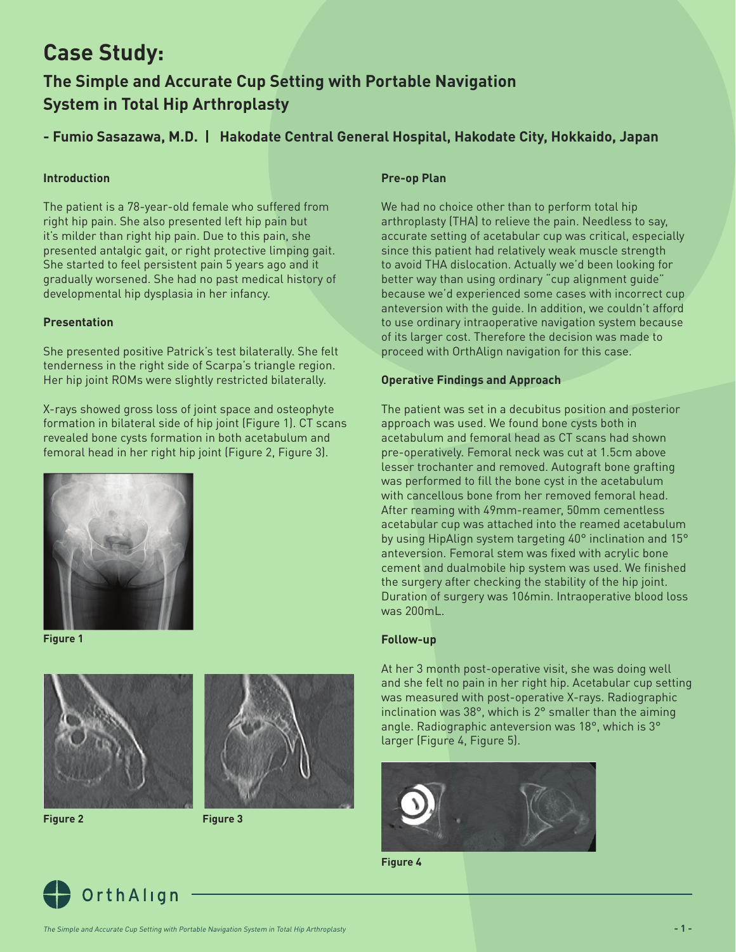# **Case Study:**

## **The Simple and Accurate Cup Setting with Portable Navigation System in Total Hip Arthroplasty**

## **- Fumio Sasazawa, M.D. | Hakodate Central General Hospital, Hakodate City, Hokkaido, Japan**

#### **Introduction**

The patient is a 78-year-old female who suffered from right hip pain. She also presented left hip pain but it's milder than right hip pain. Due to this pain, she presented antalgic gait, or right protective limping gait. She started to feel persistent pain 5 years ago and it gradually worsened. She had no past medical history of developmental hip dysplasia in her infancy.

#### **Presentation**

She presented positive Patrick's test bilaterally. She felt tenderness in the right side of Scarpa's triangle region. Her hip joint ROMs were slightly restricted bilaterally.

X-rays showed gross loss of joint space and osteophyte formation in bilateral side of hip joint (Figure 1). CT scans revealed bone cysts formation in both acetabulum and femoral head in her right hip joint (Figure 2, Figure 3).



**Figure 1**



**Figure 2 Figure 3**





We had no choice other than to perform total hip arthroplasty (THA) to relieve the pain. Needless to say, accurate setting of acetabular cup was critical, especially since this patient had relatively weak muscle strength to avoid THA dislocation. Actually we'd been looking for better way than using ordinary "cup alignment guide" because we'd experienced some cases with incorrect cup anteversion with the guide. In addition, we couldn't afford to use ordinary intraoperative navigation system because of its larger cost. Therefore the decision was made to proceed with OrthAlign navigation for this case.

#### **Operative Findings and Approach**

The patient was set in a decubitus position and posterior approach was used. We found bone cysts both in acetabulum and femoral head as CT scans had shown pre-operatively. Femoral neck was cut at 1.5cm above lesser trochanter and removed. Autograft bone grafting was performed to fill the bone cyst in the acetabulum with cancellous bone from her removed femoral head. After reaming with 49mm-reamer, 50mm cementless acetabular cup was attached into the reamed acetabulum by using HipAlign system targeting 40° inclination and 15° anteversion. Femoral stem was fixed with acrylic bone cement and dualmobile hip system was used. We finished the surgery after checking the stability of the hip joint. Duration of surgery was 106min. Intraoperative blood loss was 200mL.

#### **Follow-up**

At her 3 month post-operative visit, she was doing well and she felt no pain in her right hip. Acetabular cup setting was measured with post-operative X-rays. Radiographic inclination was 38°, which is 2° smaller than the aiming angle. Radiographic anteversion was 18°, which is 3° larger (Figure 4, Figure 5).



**Figure 4**